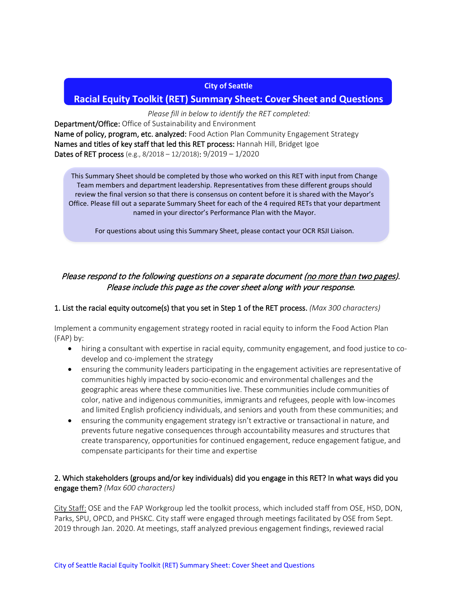#### **City of Seattle**

# **Racial Equity Toolkit (RET) Summary Sheet: Cover Sheet and Questions**

*Please fill in below to identify the RET completed:*

Department/Office: Office of Sustainability and Environment Name of policy, program, etc. analyzed: Food Action Plan Community Engagement Strategy Names and titles of key staff that led this RET process: Hannah Hill, Bridget Igoe Dates of RET process (e.g., 8/2018 – 12/2018): 9/2019 – 1/2020

This Summary Sheet should be completed by those who worked on this RET with input from Change Team members and department leadership. Representatives from these different groups should review the final version so that there is consensus on content before it is shared with the Mayor's Office. Please fill out a separate Summary Sheet for each of the 4 required RETs that your department named in your director's Performance Plan with the Mayor.

For questions about using this Summary Sheet, please contact your OCR RSJI Liaison.

# Please respond to the following questions on a separate document (no more than two pages). Please include this page as the cover sheet along with your response.

# 1. List the racial equity outcome(s) that you set in Step 1 of the RET process. *(Max 300 characters)*

Implement a community engagement strategy rooted in racial equity to inform the Food Action Plan (FAP) by:

- hiring a consultant with expertise in racial equity, community engagement, and food justice to codevelop and co-implement the strategy
- ensuring the community leaders participating in the engagement activities are representative of communities highly impacted by socio-economic and environmental challenges and the geographic areas where these communities live. These communities include communities of color, native and indigenous communities, immigrants and refugees, people with low-incomes and limited English proficiency individuals, and seniors and youth from these communities; and
- ensuring the community engagement strategy isn't extractive or transactional in nature, and prevents future negative consequences through accountability measures and structures that create transparency, opportunities for continued engagement, reduce engagement fatigue, and compensate participants for their time and expertise

# 2. Which stakeholders (groups and/or key individuals) did you engage in this RET? In what ways did you engage them? *(Max 600 characters)*

City Staff: OSE and the FAP Workgroup led the toolkit process, which included staff from OSE, HSD, DON, Parks, SPU, OPCD, and PHSKC. City staff were engaged through meetings facilitated by OSE from Sept. 2019 through Jan. 2020. At meetings, staff analyzed previous engagement findings, reviewed racial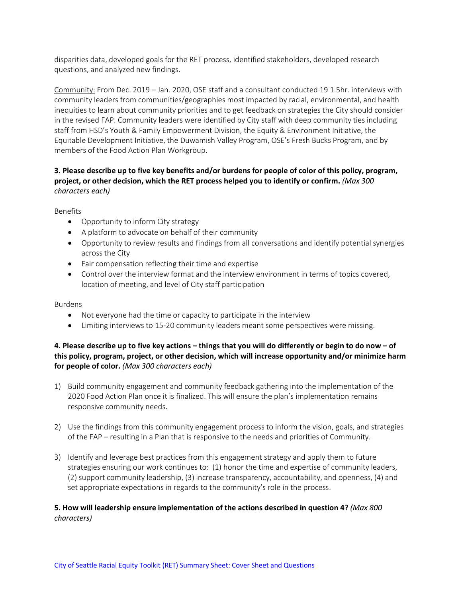disparities data, developed goals for the RET process, identified stakeholders, developed research questions, and analyzed new findings.

Community: From Dec. 2019 – Jan. 2020, OSE staff and a consultant conducted 19 1.5hr. interviews with community leaders from communities/geographies most impacted by racial, environmental, and health inequities to learn about community priorities and to get feedback on strategies the City should consider in the revised FAP. Community leaders were identified by City staff with deep community ties including staff from HSD's Youth & Family Empowerment Division, the Equity & Environment Initiative, the Equitable Development Initiative, the Duwamish Valley Program, OSE's Fresh Bucks Program, and by members of the Food Action Plan Workgroup.

# **3. Please describe up to five key benefits and/or burdens for people of color of this policy, program, project, or other decision, which the RET process helped you to identify or confirm.** *(Max 300 characters each)*

Benefits

- Opportunity to inform City strategy
- A platform to advocate on behalf of their community
- Opportunity to review results and findings from all conversations and identify potential synergies across the City
- Fair compensation reflecting their time and expertise
- Control over the interview format and the interview environment in terms of topics covered, location of meeting, and level of City staff participation

#### Burdens

- Not everyone had the time or capacity to participate in the interview
- Limiting interviews to 15-20 community leaders meant some perspectives were missing.

# **4. Please describe up to five key actions – things that you will do differently or begin to do now – of this policy, program, project, or other decision, which will increase opportunity and/or minimize harm for people of color.** *(Max 300 characters each)*

- 1) Build community engagement and community feedback gathering into the implementation of the 2020 Food Action Plan once it is finalized. This will ensure the plan's implementation remains responsive community needs.
- 2) Use the findings from this community engagement process to inform the vision, goals, and strategies of the FAP – resulting in a Plan that is responsive to the needs and priorities of Community.
- 3) Identify and leverage best practices from this engagement strategy and apply them to future strategies ensuring our work continues to: (1) honor the time and expertise of community leaders, (2) support community leadership, (3) increase transparency, accountability, and openness, (4) and set appropriate expectations in regards to the community's role in the process.

# **5. How will leadership ensure implementation of the actions described in question 4?** *(Max 800 characters)*